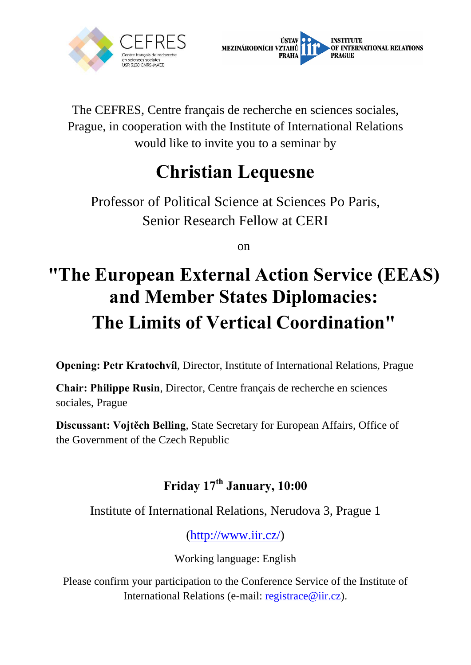



The CEFRES, Centre français de recherche en sciences sociales, Prague, in cooperation with the Institute of International Relations would like to invite you to a seminar by

## **Christian Lequesne**

Professor of Political Science at Sciences Po Paris, Senior Research Fellow at CERI

on

## **"The European External Action Service (EEAS) and Member States Diplomacies: The Limits of Vertical Coordination"**

**Opening: Petr Kratochvíl**, Director, Institute of International Relations, Prague

**Chair: Philippe Rusin**, Director, Centre français de recherche en sciences sociales, Prague

**Discussant: Vojtěch Belling**, State Secretary for European Affairs, Office of the Government of the Czech Republic

## **Friday 17th January, 10:00**

Institute of International Relations, Nerudova 3, Prague 1

(http://www.iir.cz/)

Working language: English

Please confirm your participation to the Conference Service of the Institute of International Relations (e-mail: registrace@iir.cz).